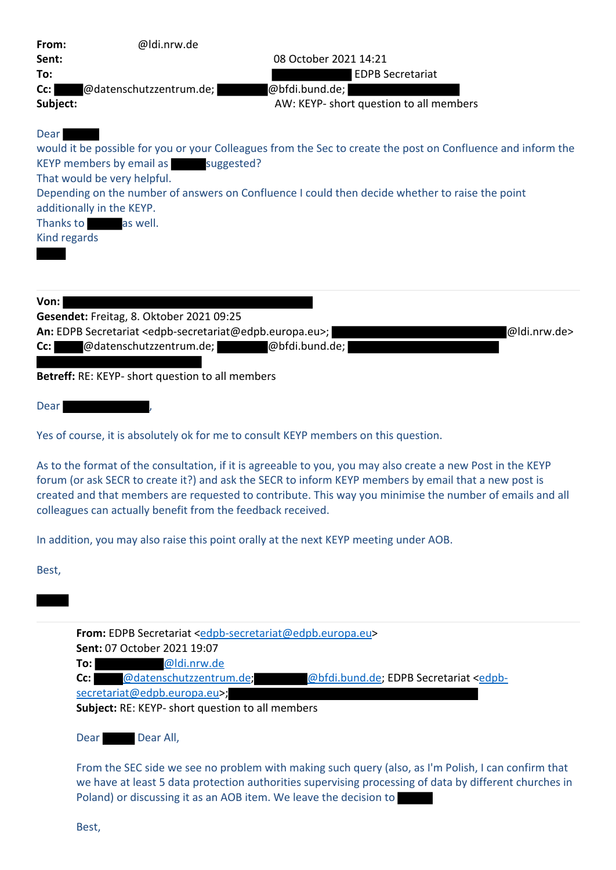| From:<br>Sent:<br>To:<br>Cc:<br>Subject:                       | @ldi.nrw.de<br>@datenschutzzentrum.de;                                                                                                                                                                                 | 08 October 2021 14:21<br><b>EDPB Secretariat</b><br>@bfdi.bund.de;<br>AW: KEYP- short question to all members                                                                                                                                                                                                                    |
|----------------------------------------------------------------|------------------------------------------------------------------------------------------------------------------------------------------------------------------------------------------------------------------------|----------------------------------------------------------------------------------------------------------------------------------------------------------------------------------------------------------------------------------------------------------------------------------------------------------------------------------|
| Dear<br>additionally in the KEYP.<br>Thanks to<br>Kind regards | KEYP members by email as suggested?<br>That would be very helpful.<br>as well.                                                                                                                                         | would it be possible for you or your Colleagues from the Sec to create the post on Confluence and inform the<br>Depending on the number of answers on Confluence I could then decide whether to raise the point                                                                                                                  |
| Von:<br>Cc:                                                    | Gesendet: Freitag, 8. Oktober 2021 09:25<br>An: EDPB Secretariat <edpb-secretariat@edpb.europa.eu>;<br/>@datenschutzzentrum.de;<br/>Betreff: RE: KEYP- short question to all members</edpb-secretariat@edpb.europa.eu> | @ldi.nrw.de><br>@bfdi.bund.de;                                                                                                                                                                                                                                                                                                   |
| Dear                                                           |                                                                                                                                                                                                                        |                                                                                                                                                                                                                                                                                                                                  |
|                                                                |                                                                                                                                                                                                                        | Yes of course, it is absolutely ok for me to consult KEYP members on this question.                                                                                                                                                                                                                                              |
|                                                                | colleagues can actually benefit from the feedback received.                                                                                                                                                            | As to the format of the consultation, if it is agreeable to you, you may also create a new Post in the KEYP<br>forum (or ask SECR to create it?) and ask the SECR to inform KEYP members by email that a new post is<br>created and that members are requested to contribute. This way you minimise the number of emails and all |
|                                                                |                                                                                                                                                                                                                        | In addition, you may also raise this point orally at the next KEYP meeting under AOB.                                                                                                                                                                                                                                            |
| Best,                                                          |                                                                                                                                                                                                                        |                                                                                                                                                                                                                                                                                                                                  |
|                                                                |                                                                                                                                                                                                                        |                                                                                                                                                                                                                                                                                                                                  |
| To:<br>$Cc$ : l                                                | Sent: 07 October 2021 19:07<br>@ldi.nrw.de<br>@datenschutzzentrum.de;<br>secretariat@edpb.europa.eu>;<br>Subject: RE: KEYP- short question to all members                                                              | From: EDPB Secretariat <edpb-secretariat@edpb.europa.eu><br/>@bfdi.bund.de; EDPB Secretariat <edpb-< th=""></edpb-<></edpb-secretariat@edpb.europa.eu>                                                                                                                                                                           |
| Dear                                                           | Dear All,                                                                                                                                                                                                              |                                                                                                                                                                                                                                                                                                                                  |
|                                                                |                                                                                                                                                                                                                        | From the SEC side we see no problem with making such query (also, as I'm Polish, I can confirm that                                                                                                                                                                                                                              |

From the SEC side we see no problem with making such query (also, as I'm Polish, I can confirm that we have at least 5 data protection authorities supervising processing of data by different churches in Poland) or discussing it as an AOB item. We leave the decision to

Best,